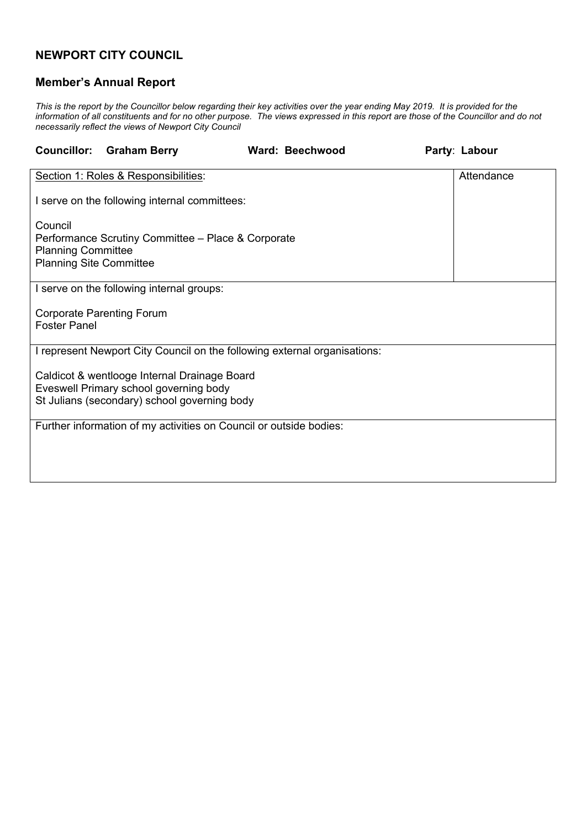## **NEWPORT CITY COUNCIL**

## **Member's Annual Report**

This is the report by the Councillor below regarding their key activities over the year ending May 2019. It is provided for the information of all constituents and for no other purpose. The views expressed in this report are those of the Councillor and do not *necessarily reflect the views of Newport City Council*

| <b>Ward: Beechwood</b> | Party: Labour                                                                                                                                                                                                                                                                                                                                          |            |
|------------------------|--------------------------------------------------------------------------------------------------------------------------------------------------------------------------------------------------------------------------------------------------------------------------------------------------------------------------------------------------------|------------|
|                        |                                                                                                                                                                                                                                                                                                                                                        | Attendance |
|                        |                                                                                                                                                                                                                                                                                                                                                        |            |
|                        |                                                                                                                                                                                                                                                                                                                                                        |            |
|                        |                                                                                                                                                                                                                                                                                                                                                        |            |
|                        |                                                                                                                                                                                                                                                                                                                                                        |            |
|                        |                                                                                                                                                                                                                                                                                                                                                        |            |
|                        |                                                                                                                                                                                                                                                                                                                                                        |            |
|                        |                                                                                                                                                                                                                                                                                                                                                        |            |
|                        |                                                                                                                                                                                                                                                                                                                                                        |            |
|                        | I serve on the following internal committees:<br>Performance Scrutiny Committee - Place & Corporate<br>I represent Newport City Council on the following external organisations:<br>Caldicot & wentlooge Internal Drainage Board<br>St Julians (secondary) school governing body<br>Further information of my activities on Council or outside bodies: |            |